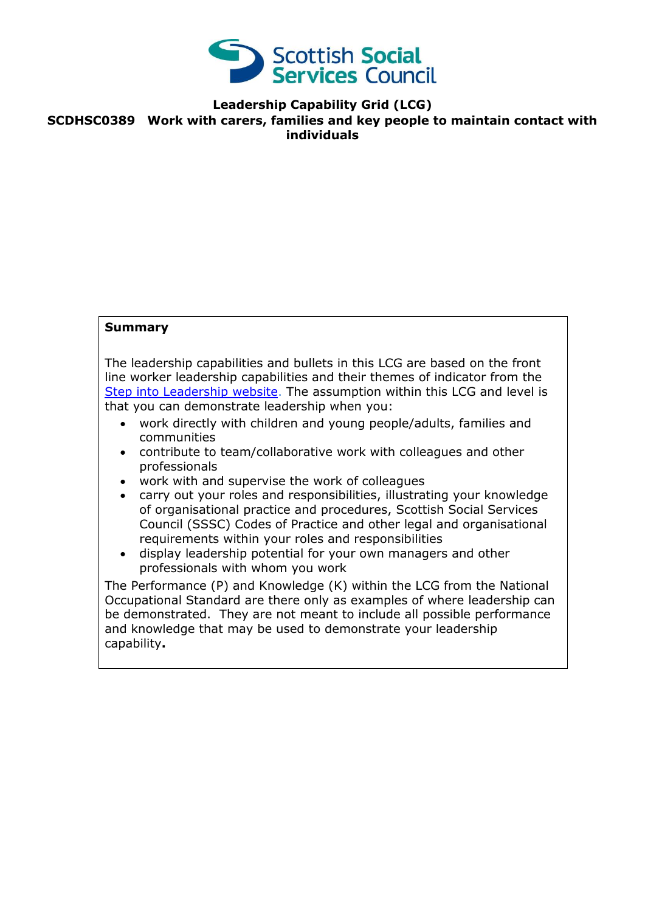

**Leadership Capability Grid (LCG)**

**SCDHSC0389 Work with carers, families and key people to maintain contact with individuals**

## **Summary**

The leadership capabilities and bullets in this LCG are based on the front line worker leadership capabilities and their themes of indicator from the [Step into Leadership website.](http://www.stepintoleadership.info/) The assumption within this LCG and level is that you can demonstrate leadership when you:

- work directly with children and young people/adults, families and communities
- contribute to team/collaborative work with colleagues and other professionals
- work with and supervise the work of colleagues
- carry out your roles and responsibilities, illustrating your knowledge of organisational practice and procedures, Scottish Social Services Council (SSSC) Codes of Practice and other legal and organisational requirements within your roles and responsibilities
- display leadership potential for your own managers and other professionals with whom you work

The Performance (P) and Knowledge (K) within the LCG from the National Occupational Standard are there only as examples of where leadership can be demonstrated. They are not meant to include all possible performance and knowledge that may be used to demonstrate your leadership capability**.**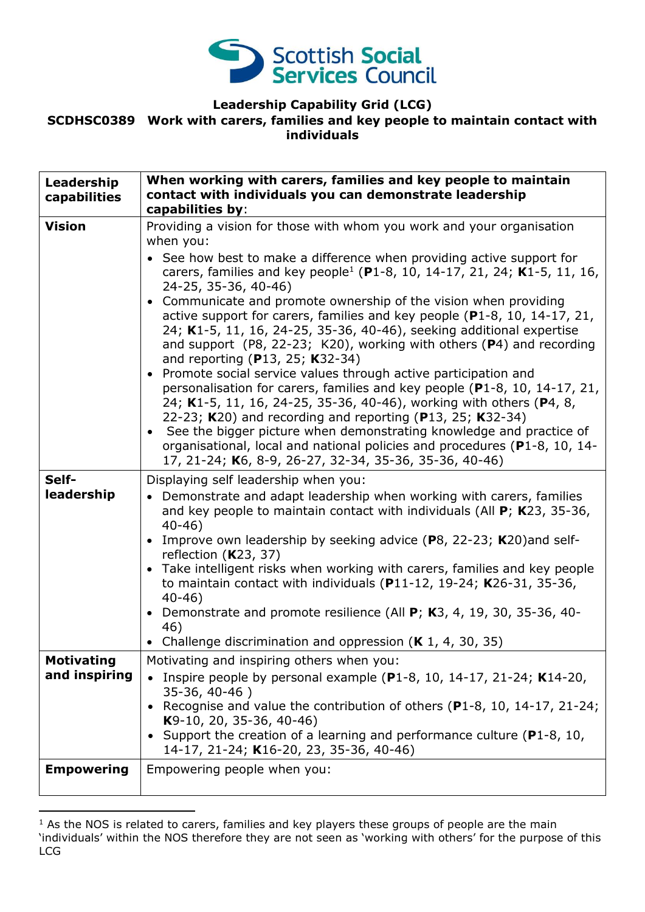

## **Leadership Capability Grid (LCG)**

#### **SCDHSC0389 Work with carers, families and key people to maintain contact with individuals**

| Leadership<br>capabilities         | When working with carers, families and key people to maintain<br>contact with individuals you can demonstrate leadership<br>capabilities by:                                                                                                                                                                                                                                                                                                                                                                                                                                                                                                                                                                                                                                                                                                                                                                                                                                                                                                                                                                                                |
|------------------------------------|---------------------------------------------------------------------------------------------------------------------------------------------------------------------------------------------------------------------------------------------------------------------------------------------------------------------------------------------------------------------------------------------------------------------------------------------------------------------------------------------------------------------------------------------------------------------------------------------------------------------------------------------------------------------------------------------------------------------------------------------------------------------------------------------------------------------------------------------------------------------------------------------------------------------------------------------------------------------------------------------------------------------------------------------------------------------------------------------------------------------------------------------|
| <b>Vision</b>                      | Providing a vision for those with whom you work and your organisation<br>when you:<br>• See how best to make a difference when providing active support for<br>carers, families and key people <sup>1</sup> (P1-8, 10, 14-17, 21, 24; K1-5, 11, 16,<br>24-25, 35-36, 40-46)<br>Communicate and promote ownership of the vision when providing<br>$\bullet$<br>active support for carers, families and key people (P1-8, 10, 14-17, 21,<br>24; K1-5, 11, 16, 24-25, 35-36, 40-46), seeking additional expertise<br>and support (P8, 22-23; K20), working with others $(P4)$ and recording<br>and reporting (P13, 25; K32-34)<br>Promote social service values through active participation and<br>$\bullet$<br>personalisation for carers, families and key people (P1-8, 10, 14-17, 21,<br>24; K1-5, 11, 16, 24-25, 35-36, 40-46), working with others (P4, 8,<br>22-23; K20) and recording and reporting (P13, 25; K32-34)<br>• See the bigger picture when demonstrating knowledge and practice of<br>organisational, local and national policies and procedures (P1-8, 10, 14-<br>17, 21-24; K6, 8-9, 26-27, 32-34, 35-36, 35-36, 40-46) |
| Self-<br>leadership                | Displaying self leadership when you:<br>• Demonstrate and adapt leadership when working with carers, families<br>and key people to maintain contact with individuals (All $P$ ; K23, 35-36,<br>$40 - 46$<br>Improve own leadership by seeking advice (P8, 22-23; K20) and self-<br>reflection $(K23, 37)$<br>• Take intelligent risks when working with carers, families and key people<br>to maintain contact with individuals ( $P11-12$ , 19-24; K26-31, 35-36,<br>$40 - 46$<br>Demonstrate and promote resilience (All P; K3, 4, 19, 30, 35-36, 40-<br>46)<br>• Challenge discrimination and oppression $(K 1, 4, 30, 35)$                                                                                                                                                                                                                                                                                                                                                                                                                                                                                                              |
| <b>Motivating</b><br>and inspiring | Motivating and inspiring others when you:<br>Inspire people by personal example ( $P1-8$ , 10, 14-17, 21-24; K14-20,<br>35-36, 40-46)<br>Recognise and value the contribution of others (P1-8, 10, 14-17, 21-24;<br>$K9-10$ , 20, 35-36, 40-46)<br>Support the creation of a learning and performance culture ( $P1-8$ , 10,<br>14-17, 21-24; K16-20, 23, 35-36, 40-46)                                                                                                                                                                                                                                                                                                                                                                                                                                                                                                                                                                                                                                                                                                                                                                     |
| <b>Empowering</b>                  | Empowering people when you:                                                                                                                                                                                                                                                                                                                                                                                                                                                                                                                                                                                                                                                                                                                                                                                                                                                                                                                                                                                                                                                                                                                 |

 $1$  As the NOS is related to carers, families and key players these groups of people are the main 'individuals' within the NOS therefore they are not seen as 'working with others' for the purpose of this LCG

-